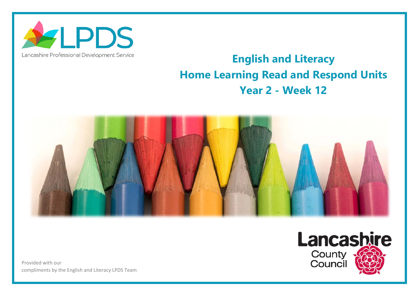

## Lancashire Professional Development Service

## **English and Literacy Home Learning Read and Respond Units Year 2 - Week 12**



Provided with our compliments by the English and Literacy LPDS Team

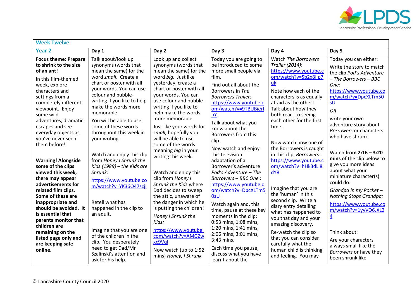

| <b>Week Twelve</b>                                                                                                                                                                                                                                                                                                                              |                                                                                                                                                                                                                                                                                                                                                                      |                                                                                                                                                                                                                                                                                                                                                                      |                                                                                                                                                                                                                                                                                                                                                                                                                                             |                                                                                                                                                                                                                                                                                                                                                                                                             |                                                                                                                                                                                                                                                                                                                                                                                   |  |  |
|-------------------------------------------------------------------------------------------------------------------------------------------------------------------------------------------------------------------------------------------------------------------------------------------------------------------------------------------------|----------------------------------------------------------------------------------------------------------------------------------------------------------------------------------------------------------------------------------------------------------------------------------------------------------------------------------------------------------------------|----------------------------------------------------------------------------------------------------------------------------------------------------------------------------------------------------------------------------------------------------------------------------------------------------------------------------------------------------------------------|---------------------------------------------------------------------------------------------------------------------------------------------------------------------------------------------------------------------------------------------------------------------------------------------------------------------------------------------------------------------------------------------------------------------------------------------|-------------------------------------------------------------------------------------------------------------------------------------------------------------------------------------------------------------------------------------------------------------------------------------------------------------------------------------------------------------------------------------------------------------|-----------------------------------------------------------------------------------------------------------------------------------------------------------------------------------------------------------------------------------------------------------------------------------------------------------------------------------------------------------------------------------|--|--|
| <b>Year 2</b>                                                                                                                                                                                                                                                                                                                                   | Day 1                                                                                                                                                                                                                                                                                                                                                                | Day 2                                                                                                                                                                                                                                                                                                                                                                | Day 3                                                                                                                                                                                                                                                                                                                                                                                                                                       | Day 4                                                                                                                                                                                                                                                                                                                                                                                                       | Day 5                                                                                                                                                                                                                                                                                                                                                                             |  |  |
| <b>Focus theme: Prepare</b><br>to shrink to the size<br>of an ant!<br>In this film-themed<br>week, explore<br>characters and<br>settings from a<br>completely different<br>viewpoint. Enjoy<br>some wild<br>adventures, dramatic<br>escapes and see<br>everyday objects as<br>you've never seen<br>them before!                                 | Talk about/look up<br>synonyms (words that<br>mean the same) for the<br>word small. Create a<br>chart or poster with all<br>your words. You can use<br>colour and bubble-<br>writing if you like to help<br>make the words more<br>memorable.<br>You will be able to use<br>some of these words<br>throughout this week in<br>your writing.                          | Look up and collect<br>synonyms (words that<br>mean the same) for the<br>word big. Just like<br>yesterday, create a<br>chart or poster with all<br>your words. You can<br>use colour and bubble-<br>writing if you like to<br>help make the words<br>more memorable.<br>Just like your words for<br>small, hopefully you<br>will be able to use<br>some of the words | Today you are going to<br>be introduced to some<br>more small people via<br>film.<br>Find out all about the<br>Borrowers in The<br><b>Borrowers Trailer:</b><br>https://www.youtube.c<br>om/watch?v=9TBUBierI<br>bY<br>Talk about what you<br>know about the<br>Borrowers from this<br>clip.                                                                                                                                                | Watch The Borrowers<br>Trailer (2014):<br>https://www.youtube.c<br>om/watch?v=Sb2x8llp7<br>uk<br>Note how each of the<br>characters is as equally<br>afraid as the other!<br>Talk about how they<br>both react to seeing<br>each other for the first<br>time.<br>Now watch how one of                                                                                                                       | Today you can either:<br>Write the story to match<br>the clip Pod's Adventure<br>$-$ The Borrowers $-$ BBC<br>One:<br>https://www.youtube.co<br>m/watch?v=DpcXLTm50<br>sU<br><b>OR</b><br>write your own<br>adventure story about<br>Borrowers or characters<br>who have shrunk.                                                                                                  |  |  |
| <b>Warning! Alongside</b><br>some of the clips<br>viewed this week,<br>there may appear<br>advertisements for<br>related film clips.<br>Some of these are<br>inappropriate and<br>should be avoided. It<br>is essential that<br>parents monitor that<br>children are<br>remaining on the<br>listed page only and<br>are keeping safe<br>online. | Watch and enjoy this clip<br>from Honey I Shrunk the<br>Kids (1989) $-$ the Kids are<br>Shrunk:<br>https://www.youtube.co<br>m/watch?v=YK36O47scjI<br>Retell what has<br>happened in the clip to<br>an adult.<br>Imagine that you are one<br>of the children in the<br>clip. You desperately<br>need to get Dad/Mr<br>Szalinski's attention and<br>ask for his help. | meaning big in your<br>writing this week.<br>Watch and enjoy this<br>clip from Honey I<br>Shrunk the Kids where<br>Dad decides to sweep<br>the attic, unaware of<br>the danger in which he<br>is putting the children!<br>Honey I Shrunk the<br>Kids:<br>https://www.youtube.<br>com/watch?v=AMGZw<br>xc9Vql<br>Now watch (up to 1:52<br>mins) Honey, I Shrunk       | Now watch and enjoy<br>this television<br>adaptation of a<br>Borrower's adventure<br>Pod's Adventure - The<br>Borrowers - BBC One:<br>https://www.youtube.c<br>om/watch?v=DpcXLTm5<br><b>OsU</b><br>Watch again and, this<br>time, pause at these key<br>moments in the clip:<br>0:53 mins, 1:08 mins,<br>1:20 mins, 1:41 mins,<br>2:06 mins, 3:01 mins,<br>3:43 mins.<br>Each time you pause,<br>discuss what you have<br>learnt about the | the Borrowers is caught<br>in this clip, Borrowers:<br>https://www.youtube.c<br>om/watch?v=hHk3dLl8<br>dY8<br>Imagine that you are<br>the 'human' in this<br>second clip. Write a<br>diary entry detailing<br>what has happened to<br>you that day and your<br>amazing discovery.<br>Re-watch the clip so<br>that you can consider<br>carefully what the<br>human child is thinking<br>and feeling. You may | Watch from 2:16 - 3:20<br>mins of the clip below to<br>give you more ideas<br>about what your<br>miniature character(s)<br>could do:<br>Grandpa in my Pocket -<br><b>Nothing Stops Grandpa:</b><br>https://www.youtube.co<br>m/watch?v=1yyVO6JXL2<br>$\overline{4}$<br>Think about:<br>Are your characters<br>always small like the<br>Borrowers or have they<br>been shrunk like |  |  |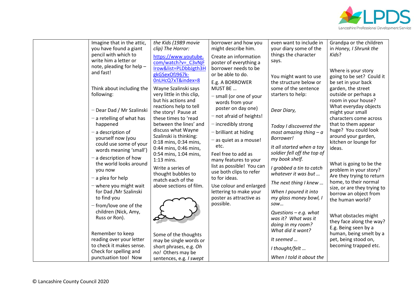

| Imagine that in the attic,  | the Kids (1989 movie                    | borrower and how you       | even want to include in     | Grandpa or the children     |
|-----------------------------|-----------------------------------------|----------------------------|-----------------------------|-----------------------------|
| you have found a giant      | clip) The Horror:                       | might describe him.        | your diary some of the      | in Honey, I Shrunk the      |
| pencil with which to        | https://www.youtube.                    | Create an information      | things the character        | Kids?                       |
| write him a letter or       | com/watch?v= C3vNjF                     | poster of everything a     | says.                       |                             |
| note, pleading for help -   | Irow&list=PLDbbJgth3H                   | borrower needs to be       |                             |                             |
| and fast!                   | gkGSexOfJ967k-                          | or be able to do.          |                             | Where is your story         |
|                             | 0nLHcQ7xT&index=8                       |                            | You might want to use       | going to be set? Could it   |
|                             |                                         | E.g. A BORROWER            | the structure below or      | be set in your back         |
| Think about including the   | Wayne Szalinski says                    | MUST BE                    | some of the sentence        | garden, the street          |
| following:                  | very little in this clip,               | $-$ small (or one of your  | starters to help:           | outside or perhaps a        |
|                             | but his actions and                     | words from your            |                             | room in your house?         |
| Dear Dad / Mr Szalinski     | reactions help to tell                  | poster on day one)         | Dear Diary,                 | What everyday objects       |
|                             | the story! Pause at                     |                            |                             | might your small            |
| $-$ a retelling of what has | these times to 'read                    | $-$ not afraid of heights! |                             | characters come across      |
| happened                    | between the lines' and                  | $-$ incredibly strong      | Today I discovered the      | that to them appear         |
| - a description of          | discuss what Wayne                      | $-$ brilliant at hiding    | most amazing thing $-a$     | huge? You could look        |
| yourself now (you           | Szalinski is thinking:                  |                            | Borrower!                   | around your garden,         |
| could use some of your      | 0:18 mins, 0:34 mins,                   | as quiet as a mouse!       |                             | kitchen or lounge for       |
| words meaning 'small')      | 0:44 mins, 0:46 mins,                   | etc.                       | It all started when a toy   | ideas.                      |
|                             | 0:54 mins, 1:04 mins,                   | Feel free to add as        | soldier fell off the top of |                             |
| - a description of how      | 1:13 mins.                              | many features to your      | my book shelf.              |                             |
| the world looks around      | Write a series of                       | list as possible! You can  | I grabbed a tin to catch    | What is going to be the     |
| you now                     |                                         | use both clips to refer    | whatever it was but         | problem in your story?      |
| $-$ a plea for help         | thought bubbles to<br>match each of the | to for ideas.              |                             | Are they trying to return   |
|                             |                                         |                            | The next thing I knew       | home, to their normal       |
| - where you might wait      | above sections of film.                 | Use colour and enlarged    |                             | size, or are they trying to |
| for Dad /Mr Szalinski       |                                         | lettering to make your     | When I poured it into       | borrow an object from       |
| to find you                 |                                         | poster as attractive as    | my glass money bowl, I      | the human world?            |
| - from/love one of the      |                                         | possible.                  | Saw                         |                             |
| children (Nick, Amy,        |                                         |                            | Questions $-e.g.$ what      |                             |
| Russ or Ron).               |                                         |                            | was it? What was it         | What obstacles might        |
|                             |                                         |                            | doing in my room?           | they face along the way?    |
|                             |                                         |                            | What did it want?           | E.g. Being seen by a        |
| Remember to keep            | Some of the thoughts                    |                            |                             | human, being smelt by a     |
| reading over your letter    | may be single words or                  |                            | It seemed                   | pet, being stood on,        |
| to check it makes sense.    | short phrases, e.g. Oh                  |                            | I thought/felt              | becoming trapped etc.       |
| Check for spelling and      | no! Others may be                       |                            |                             |                             |
| punctuation too! Now        | sentences, e.g. I swept                 |                            | When I told it about the    |                             |